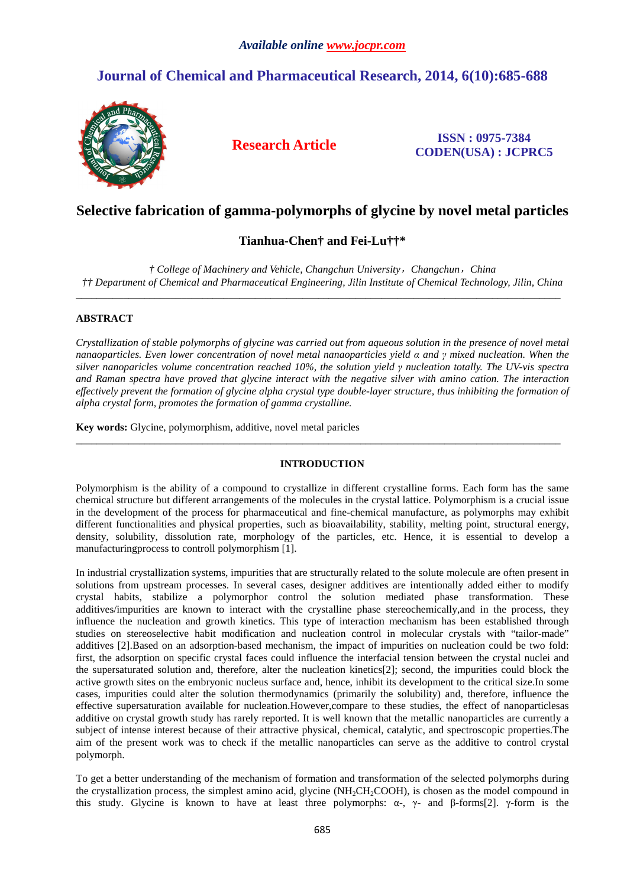# **Journal of Chemical and Pharmaceutical Research, 2014, 6(10):685-688**



**Research Article ISSN : 0975-7384 CODEN(USA) : JCPRC5**

## **Selective fabrication of gamma-polymorphs of glycine by novel metal particles**

## **Tianhua-Chen† and Fei-Lu††\***

*† College of Machinery and Vehicle, Changchun University*,*Changchun*,*China †† Department of Chemical and Pharmaceutical Engineering, Jilin Institute of Chemical Technology, Jilin, China*  \_\_\_\_\_\_\_\_\_\_\_\_\_\_\_\_\_\_\_\_\_\_\_\_\_\_\_\_\_\_\_\_\_\_\_\_\_\_\_\_\_\_\_\_\_\_\_\_\_\_\_\_\_\_\_\_\_\_\_\_\_\_\_\_\_\_\_\_\_\_\_\_\_\_\_\_\_\_\_\_\_\_\_\_\_\_\_\_\_\_\_\_

### **ABSTRACT**

*Crystallization of stable polymorphs of glycine was carried out from aqueous solution in the presence of novel metal nanaoparticles. Even lower concentration of novel metal nanaoparticles yield α and γ mixed nucleation. When the silver nanoparicles volume concentration reached 10%, the solution yield γ nucleation totally. The UV-vis spectra and Raman spectra have proved that glycine interact with the negative silver with amino cation. The interaction effectively prevent the formation of glycine alpha crystal type double-layer structure, thus inhibiting the formation of alpha crystal form, promotes the formation of gamma crystalline.* 

**Key words:** Glycine, polymorphism, additive, novel metal paricles

## **INTRODUCTION**

\_\_\_\_\_\_\_\_\_\_\_\_\_\_\_\_\_\_\_\_\_\_\_\_\_\_\_\_\_\_\_\_\_\_\_\_\_\_\_\_\_\_\_\_\_\_\_\_\_\_\_\_\_\_\_\_\_\_\_\_\_\_\_\_\_\_\_\_\_\_\_\_\_\_\_\_\_\_\_\_\_\_\_\_\_\_\_\_\_\_\_\_

Polymorphism is the ability of a compound to crystallize in different crystalline forms. Each form has the same chemical structure but different arrangements of the molecules in the crystal lattice. Polymorphism is a crucial issue in the development of the process for pharmaceutical and fine-chemical manufacture, as polymorphs may exhibit different functionalities and physical properties, such as bioavailability, stability, melting point, structural energy, density, solubility, dissolution rate, morphology of the particles, etc. Hence, it is essential to develop a manufacturingprocess to controll polymorphism [1].

In industrial crystallization systems, impurities that are structurally related to the solute molecule are often present in solutions from upstream processes. In several cases, designer additives are intentionally added either to modify crystal habits, stabilize a polymorphor control the solution mediated phase transformation. These additives/impurities are known to interact with the crystalline phase stereochemically,and in the process, they influence the nucleation and growth kinetics. This type of interaction mechanism has been established through studies on stereoselective habit modification and nucleation control in molecular crystals with "tailor-made" additives [2].Based on an adsorption-based mechanism, the impact of impurities on nucleation could be two fold: first, the adsorption on specific crystal faces could influence the interfacial tension between the crystal nuclei and the supersaturated solution and, therefore, alter the nucleation kinetics[2]; second, the impurities could block the active growth sites on the embryonic nucleus surface and, hence, inhibit its development to the critical size.In some cases, impurities could alter the solution thermodynamics (primarily the solubility) and, therefore, influence the effective supersaturation available for nucleation.However,compare to these studies, the effect of nanoparticlesas additive on crystal growth study has rarely reported. It is well known that the metallic nanoparticles are currently a subject of intense interest because of their attractive physical, chemical, catalytic, and spectroscopic properties.The aim of the present work was to check if the metallic nanoparticles can serve as the additive to control crystal polymorph.

To get a better understanding of the mechanism of formation and transformation of the selected polymorphs during the crystallization process, the simplest amino acid, glycine (NH<sub>2</sub>CH<sub>2</sub>COOH), is chosen as the model compound in this study. Glycine is known to have at least three polymorphs:  $\alpha$ -,  $\gamma$ - and β-forms[2].  $\gamma$ -form is the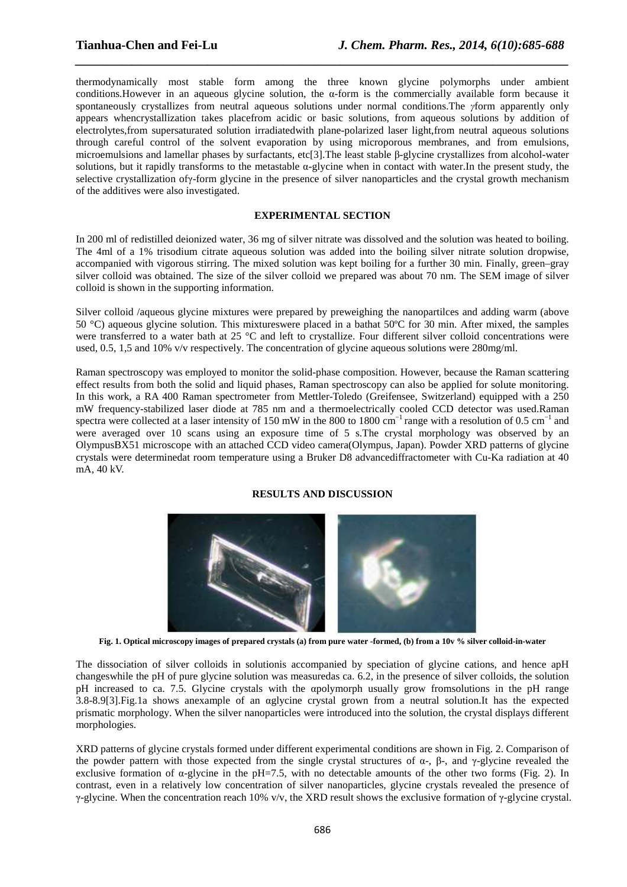thermodynamically most stable form among the three known glycine polymorphs under ambient conditions.However in an aqueous glycine solution, the α-form is the commercially available form because it spontaneously crystallizes from neutral aqueous solutions under normal conditions.The *γ*form apparently only appears whencrystallization takes placefrom acidic or basic solutions, from aqueous solutions by addition of electrolytes,from supersaturated solution irradiatedwith plane-polarized laser light,from neutral aqueous solutions through careful control of the solvent evaporation by using microporous membranes, and from emulsions, microemulsions and lamellar phases by surfactants, etc[3].The least stable β-glycine crystallizes from alcohol-water solutions, but it rapidly transforms to the metastable α-glycine when in contact with water.In the present study, the selective crystallization ofγ-form glycine in the presence of silver nanoparticles and the crystal growth mechanism of the additives were also investigated.

*\_\_\_\_\_\_\_\_\_\_\_\_\_\_\_\_\_\_\_\_\_\_\_\_\_\_\_\_\_\_\_\_\_\_\_\_\_\_\_\_\_\_\_\_\_\_\_\_\_\_\_\_\_\_\_\_\_\_\_\_\_\_\_\_\_\_\_\_\_\_\_\_\_\_\_\_\_\_*

### **EXPERIMENTAL SECTION**

In 200 ml of redistilled deionized water, 36 mg of silver nitrate was dissolved and the solution was heated to boiling. The 4ml of a 1% trisodium citrate aqueous solution was added into the boiling silver nitrate solution dropwise, accompanied with vigorous stirring. The mixed solution was kept boiling for a further 30 min. Finally, green–gray silver colloid was obtained. The size of the silver colloid we prepared was about 70 nm. The SEM image of silver colloid is shown in the supporting information.

Silver colloid /aqueous glycine mixtures were prepared by preweighing the nanopartilces and adding warm (above 50 °C) aqueous glycine solution. This mixtureswere placed in a bathat 50ºC for 30 min. After mixed, the samples were transferred to a water bath at 25 °C and left to crystallize. Four different silver colloid concentrations were used, 0.5, 1,5 and 10% v/v respectively. The concentration of glycine aqueous solutions were 280mg/ml.

Raman spectroscopy was employed to monitor the solid-phase composition. However, because the Raman scattering effect results from both the solid and liquid phases, Raman spectroscopy can also be applied for solute monitoring. In this work, a RA 400 Raman spectrometer from Mettler-Toledo (Greifensee, Switzerland) equipped with a 250 mW frequency-stabilized laser diode at 785 nm and a thermoelectrically cooled CCD detector was used.Raman spectra were collected at a laser intensity of 150 mW in the 800 to 1800 cm<sup>-1</sup> range with a resolution of 0.5 cm<sup>-1</sup> and were averaged over 10 scans using an exposure time of 5 s. The crystal morphology was observed by an OlympusBX51 microscope with an attached CCD video camera(Olympus, Japan). Powder XRD patterns of glycine crystals were determinedat room temperature using a Bruker D8 advancediffractometer with Cu-Ka radiation at 40 mA, 40 kV.

#### **RESULTS AND DISCUSSION**



**Fig. 1. Optical microscopy images of prepared crystals (a) from pure water -formed, (b) from a 10v % silver colloid-in-water** 

The dissociation of silver colloids in solutionis accompanied by speciation of glycine cations, and hence apH changeswhile the pH of pure glycine solution was measuredas ca. 6.2, in the presence of silver colloids, the solution pH increased to ca. 7.5. Glycine crystals with the αpolymorph usually grow fromsolutions in the pH range 3.8-8.9[3].Fig.1a shows anexample of an αglycine crystal grown from a neutral solution.It has the expected prismatic morphology. When the silver nanoparticles were introduced into the solution, the crystal displays different morphologies.

XRD patterns of glycine crystals formed under different experimental conditions are shown in Fig. 2. Comparison of the powder pattern with those expected from the single crystal structures of  $\alpha$ -,  $\beta$ -, and  $\gamma$ -glycine revealed the exclusive formation of  $\alpha$ -glycine in the pH=7.5, with no detectable amounts of the other two forms (Fig. 2). In contrast, even in a relatively low concentration of silver nanoparticles, glycine crystals revealed the presence of γ-glycine. When the concentration reach 10% v/v, the XRD result shows the exclusive formation of γ-glycine crystal.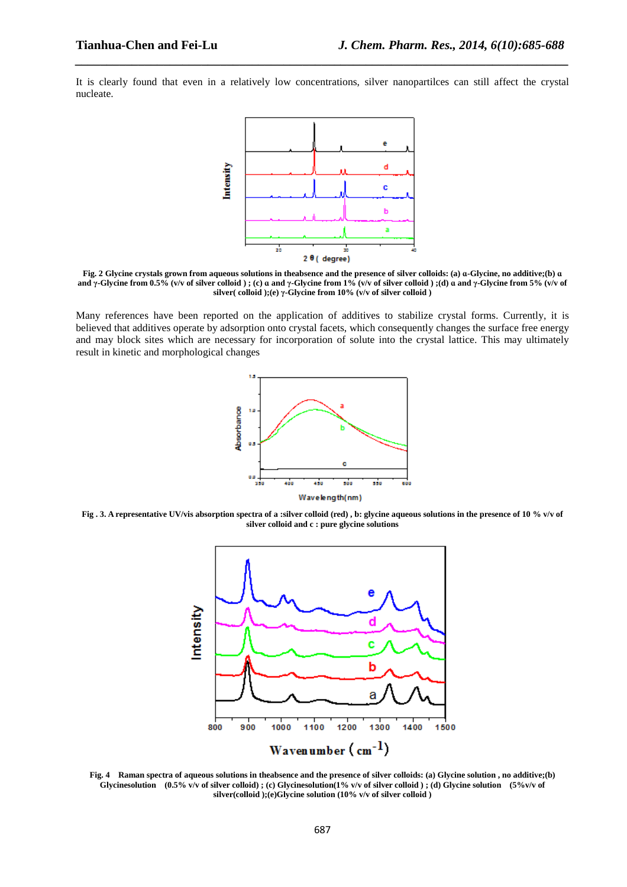It is clearly found that even in a relatively low concentrations, silver nanopartilces can still affect the crystal nucleate.

*\_\_\_\_\_\_\_\_\_\_\_\_\_\_\_\_\_\_\_\_\_\_\_\_\_\_\_\_\_\_\_\_\_\_\_\_\_\_\_\_\_\_\_\_\_\_\_\_\_\_\_\_\_\_\_\_\_\_\_\_\_\_\_\_\_\_\_\_\_\_\_\_\_\_\_\_\_\_*



**Fig. 2 Glycine crystals grown from aqueous solutions in theabsence and the presence of silver colloids: (a) ɑ-Glycine, no additive;(b) ɑ and γ-Glycine from 0.5% (v/v of silver colloid ) ; (c) ɑ and γ-Glycine from 1% (v/v of silver colloid ) ;(d) ɑ and γ-Glycine from 5% (v/v of silver( colloid );(e) γ-Glycine from 10% (v/v of silver colloid )** 

Many references have been reported on the application of additives to stabilize crystal forms. Currently, it is believed that additives operate by adsorption onto crystal facets, which consequently changes the surface free energy and may block sites which are necessary for incorporation of solute into the crystal lattice. This may ultimately result in kinetic and morphological changes



Fig . 3. A representative UV/vis absorption spectra of a :silver colloid (red), b: glycine aqueous solutions in the presence of 10 % v/v of **silver colloid and c : pure glycine solutions** 



**Fig. 4 Raman spectra of aqueous solutions in theabsence and the presence of silver colloids: (a) Glycine solution , no additive;(b)**  Glycinesolution  $(0.5\% \text{ v/v of silver colloid})$ ; (c) Glycinesolution(1% v/v of silver colloid); (d) Glycine solution  $(5\% \text{ v/v of})$ **silver(colloid );(e)Glycine solution (10% v/v of silver colloid )**